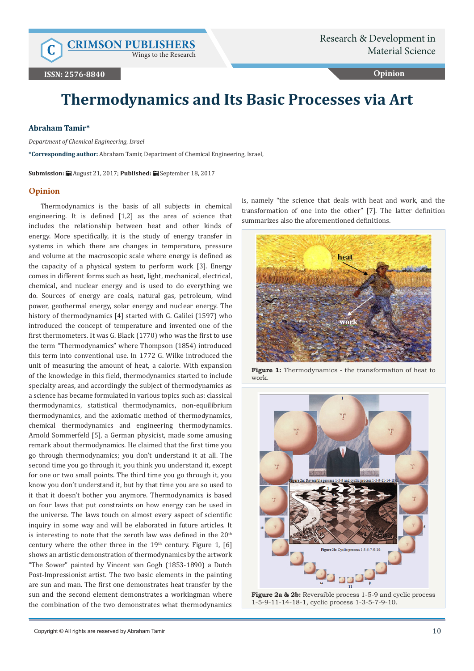Wings to the Research

**Opinion**

# **Thermodynamics and Its Basic Processes via Art**

## **Abraham Tamir\***

*Department of Chemical Engineering, Israel*

**\*Corresponding author:** Abraham Tamir, Department of Chemical Engineering, Israel,

**Submission:** August 21, 2017; **Published:** September 18, 2017

#### **Opinion**

Thermodynamics is the basis of all subjects in chemical engineering. It is defined [1,2] as the area of science that includes the relationship between heat and other kinds of energy. More specifically, it is the study of energy transfer in systems in which there are changes in temperature, pressure and volume at the macroscopic scale where energy is defined as the capacity of a physical system to perform work [3]. Energy comes in different forms such as heat, light, mechanical, electrical, chemical, and nuclear energy and is used to do everything we do. Sources of energy are coals, natural gas, petroleum, wind power, geothermal energy, solar energy and nuclear energy. The history of thermodynamics [4] started with G. Galilei (1597) who introduced the concept of temperature and invented one of the first thermometers. It was G. Black (1770) who was the first to use the term "Thermodynamics" where Thompson (1854) introduced this term into conventional use. In 1772 G. Wilke introduced the unit of measuring the amount of heat, a calorie. With expansion of the knowledge in this field, thermodynamics started to include specialty areas, and accordingly the subject of thermodynamics as a science has became formulated in various topics such as: classical thermodynamics, statistical thermodynamics, non-equilibrium thermodynamics, and the axiomatic method of thermodynamics, chemical thermodynamics and engineering thermodynamics. Arnold Sommerfeld [5], a German physicist, made some amusing remark about thermodynamics. He claimed that the first time you go through thermodynamics; you don't understand it at all. The second time you go through it, you think you understand it, except for one or two small points. The third time you go through it, you know you don't understand it, but by that time you are so used to it that it doesn't bother you anymore. Thermodynamics is based on four laws that put constraints on how energy can be used in the universe. The laws touch on almost every aspect of scientific inquiry in some way and will be elaborated in future articles. It is interesting to note that the zeroth law was defined in the 20<sup>th</sup> century where the other three in the  $19<sup>th</sup>$  century. Figure 1, [6] shows an artistic demonstration of thermodynamics by the artwork "The Sower" painted by Vincent van Gogh (1853-1890) a Dutch Post-Impressionist artist. The two basic elements in the painting are sun and man. The first one demonstrates heat transfer by the sun and the second element demonstrates a workingman where the combination of the two demonstrates what thermodynamics

is, namely "the science that deals with heat and work, and the transformation of one into the other" [7]. The latter definition summarizes also the aforementioned definitions.



**Figure 1:** Thermodynamics - the transformation of heat to work.



**Figure 2a & 2b:** Reversible process 1-5-9 and cyclic process 1-5-9-11-14-18-1, cyclic process 1-3-5-7-9-10.